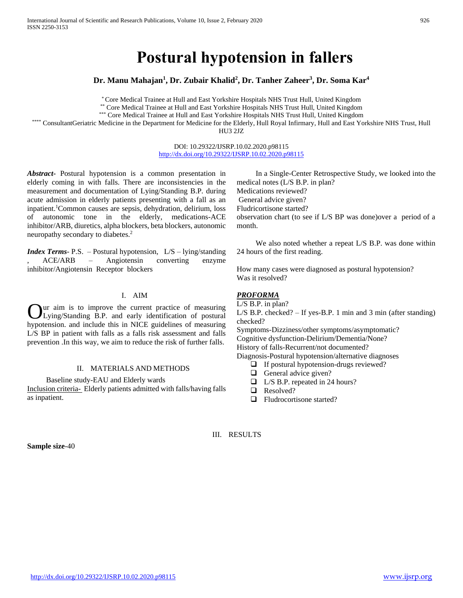# **Postural hypotension in fallers**

**Dr. Manu Mahajan<sup>1</sup> , Dr. Zubair Khalid<sup>2</sup> , Dr. Tanher Zaheer<sup>3</sup> , Dr. Soma Kar<sup>4</sup>**

\* Core Medical Trainee at Hull and East Yorkshire Hospitals NHS Trust Hull, United Kingdom

\*\* Core Medical Trainee at Hull and East Yorkshire Hospitals NHS Trust Hull, United Kingdom

\*\*\* Core Medical Trainee at Hull and East Yorkshire Hospitals NHS Trust Hull, United Kingdom

\*\*\*\* ConsultantGeriatric Medicine in the Department for Medicine for the Elderly, Hull Royal Infirmary, Hull and East Yorkshire NHS Trust, Hull

HU3 2JZ

DOI: 10.29322/IJSRP.10.02.2020.p98115 <http://dx.doi.org/10.29322/IJSRP.10.02.2020.p98115>

*Abstract***-** Postural hypotension is a common presentation in elderly coming in with falls. There are inconsistencies in the measurement and documentation of Lying/Standing B.P. during acute admission in elderly patients presenting with a fall as an inpatient.<sup>1</sup>Common causes are sepsis, dehydration, delirium, loss of autonomic tone in the elderly, medications-ACE inhibitor/ARB, diuretics, alpha blockers, beta blockers, autonomic neuropathy secondary to diabetes.<sup>2</sup>

*Index Terms*- P.S. – Postural hypotension, L/S – lying/standing , ACE/ARB – Angiotensin converting enzyme inhibitor/Angiotensin Receptor blockers

## I. AIM

ur aim is to improve the current practice of measuring Lying/Standing B.P. and early identification of postural hypotension. and include this in NICE guidelines of measuring L/S BP in patient with falls as a falls risk assessment and falls prevention .In this way, we aim to reduce the risk of further falls. O

#### II. MATERIALS AND METHODS

 Baseline study-EAU and Elderly wards Inclusion criteria- Elderly patients admitted with falls/having falls as inpatient.

 In a Single-Center Retrospective Study, we looked into the medical notes (L/S B.P. in plan? Medications reviewed? General advice given? Fludricortisone started? observation chart (to see if L/S BP was done)over a period of a month.

 We also noted whether a repeat L/S B.P. was done within 24 hours of the first reading.

How many cases were diagnosed as postural hypotension? Was it resolved?

## *PROFORMA*

L/S B.P. in plan? L/S B.P. checked? – If yes-B.P. 1 min and 3 min (after standing) checked?

Symptoms-Dizziness/other symptoms/asymptomatic? Cognitive dysfunction-Delirium/Dementia/None? History of falls-Recurrent/not documented?

Diagnosis-Postural hypotension/alternative diagnoses

- $\Box$  If postural hypotension-drugs reviewed?
- General advice given?
- L/S B.P. repeated in 24 hours?
- Resolved?
- □ Fludrocortisone started?

III. RESULTS

**Sample size**-40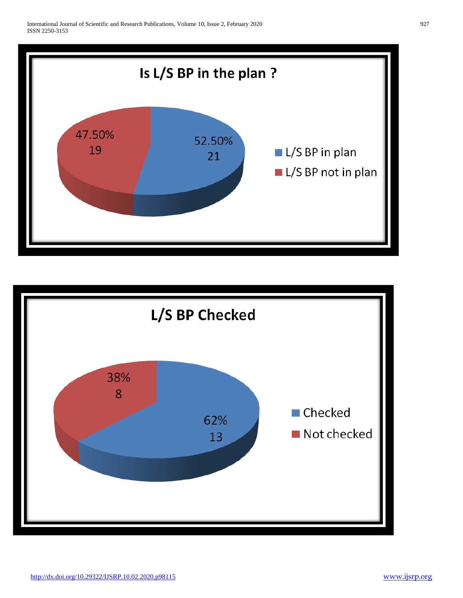

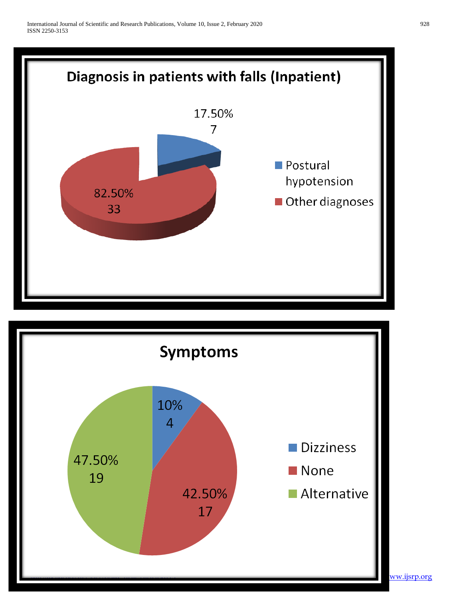

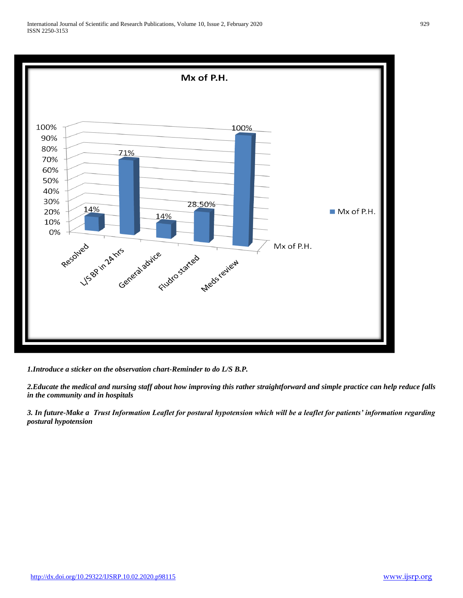

*1.Introduce a sticker on the observation chart-Reminder to do L/S B.P.*

*2.Educate the medical and nursing staff about how improving this rather straightforward and simple practice can help reduce falls in the community and in hospitals*

*3. In future-Make a Trust Information Leaflet for postural hypotension which will be a leaflet for patients' information regarding postural hypotension*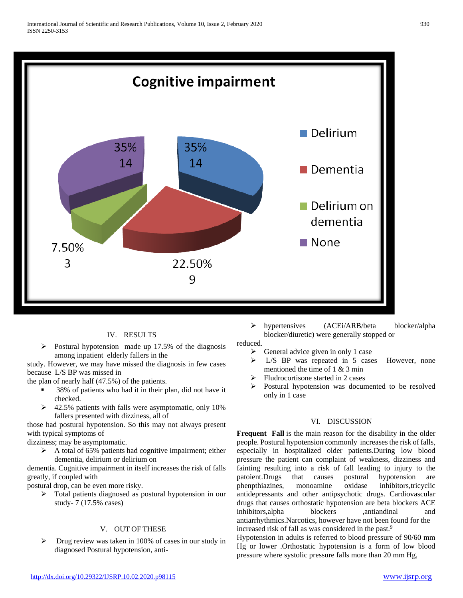

# IV. RESULTS

 Postural hypotension made up 17.5% of the diagnosis among inpatient elderly fallers in the

study. However, we may have missed the diagnosis in few cases because L/S BP was missed in

the plan of nearly half (47.5%) of the patients.

- 38% of patients who had it in their plan, did not have it checked.
- $\geq$  42.5% patients with falls were asymptomatic, only 10% fallers presented with dizziness, all of

those had postural hypotension. So this may not always present with typical symptoms of

dizziness; may be asymptomatic.

 $\triangleright$  A total of 65% patients had cognitive impairment; either dementia, delirium or delirium on

dementia. Cognitive impairment in itself increases the risk of falls greatly, if coupled with

postural drop, can be even more risky.

> Total patients diagnosed as postural hypotension in our study- 7 (17.5% cases)

# V. OUT OF THESE

 $\triangleright$  Drug review was taken in 100% of cases in our study in diagnosed Postural hypotension, anti hypertensives (ACEi/ARB/beta blocker/alpha blocker/diuretic) were generally stopped or

reduced.

- $\triangleright$  General advice given in only 1 case
- $\triangleright$  L/S BP was repeated in 5 cases However, none mentioned the time of 1 & 3 min
- Fludrocortisone started in 2 cases
- Postural hypotension was documented to be resolved only in 1 case

# VI. DISCUSSION

**Frequent Fall** is the main reason for the disability in the older people. Postural hypotension commonly increases the risk of falls, especially in hospitalized older patients.During low blood pressure the patient can complaint of weakness, dizziness and fainting resulting into a risk of fall leading to injury to the patoient.Drugs that causes postural hypotension are phenpthiazines, monoamine oxidase inhibitors,tricyclic antidepressants and other antipsychotic drugs. Cardiovascular drugs that causes orthostatic hypotension are beta blockers ACE inhibitors, alpha blockers ,antiandinal and antiarrhythmics.Narcotics, however have not been found for the increased risk of fall as was considered in the past.<sup>9</sup>

Hypotension in adults is referred to blood pressure of 90/60 mm Hg or lower .Orthostatic hypotension is a form of low blood pressure where systolic pressure falls more than 20 mm Hg,